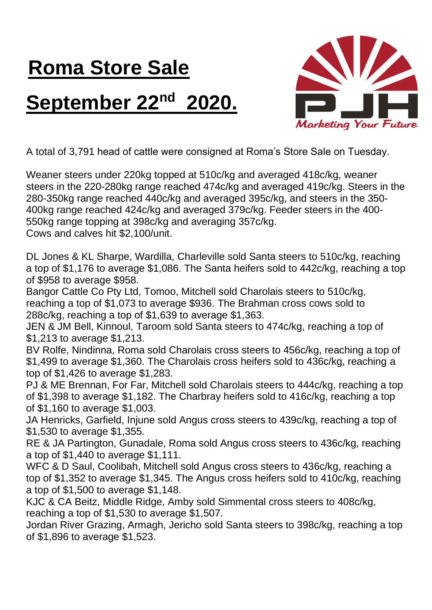## **Roma Store Sale September 22nd 2020.**



A total of 3,791 head of cattle were consigned at Roma's Store Sale on Tuesday.

Weaner steers under 220kg topped at 510c/kg and averaged 418c/kg, weaner steers in the 220-280kg range reached 474c/kg and averaged 419c/kg. Steers in the 280-350kg range reached 440c/kg and averaged 395c/kg, and steers in the 350- 400kg range reached 424c/kg and averaged 379c/kg. Feeder steers in the 400- 550kg range topping at 398c/kg and averaging 357c/kg. Cows and calves hit \$2,100/unit.

DL Jones & KL Sharpe, Wardilla, Charleville sold Santa steers to 510c/kg, reaching a top of \$1,176 to average \$1,086. The Santa heifers sold to 442c/kg, reaching a top of \$958 to average \$958.

Bangor Cattle Co Pty Ltd, Tomoo, Mitchell sold Charolais steers to 510c/kg, reaching a top of \$1,073 to average \$936. The Brahman cross cows sold to 288c/kg, reaching a top of \$1,639 to average \$1,363.

JEN & JM Bell, Kinnoul, Taroom sold Santa steers to 474c/kg, reaching a top of \$1,213 to average \$1,213.

BV Rolfe, Nindinna, Roma sold Charolais cross steers to 456c/kg, reaching a top of \$1,499 to average \$1,360. The Charolais cross heifers sold to 436c/kg, reaching a top of \$1,426 to average \$1,283.

PJ & ME Brennan, For Far, Mitchell sold Charolais steers to 444c/kg, reaching a top of \$1,398 to average \$1,182. The Charbray heifers sold to 416c/kg, reaching a top of \$1,160 to average \$1,003.

JA Henricks, Garfield, Injune sold Angus cross steers to 439c/kg, reaching a top of \$1,530 to average \$1,355.

RE & JA Partington, Gunadale, Roma sold Angus cross steers to 436c/kg, reaching a top of \$1,440 to average \$1,111.

WFC & D Saul, Coolibah, Mitchell sold Angus cross steers to 436c/kg, reaching a top of \$1,352 to average \$1,345. The Angus cross heifers sold to 410c/kg, reaching a top of \$1,500 to average \$1,148.

KJC & CA Beitz, Middle Ridge, Amby sold Simmental cross steers to 408c/kg, reaching a top of \$1,530 to average \$1,507.

Jordan River Grazing, Armagh, Jericho sold Santa steers to 398c/kg, reaching a top of \$1,896 to average \$1,523.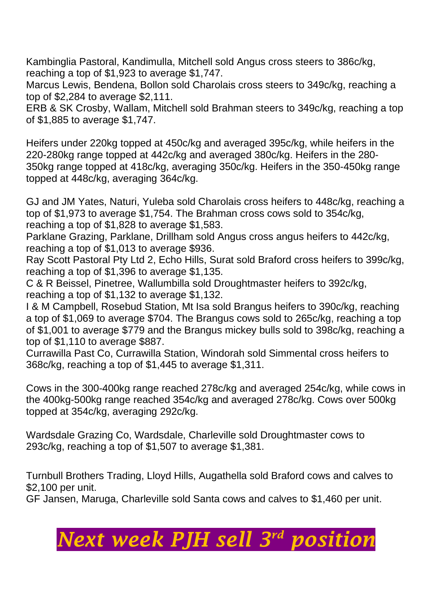Kambinglia Pastoral, Kandimulla, Mitchell sold Angus cross steers to 386c/kg, reaching a top of \$1,923 to average \$1,747.

Marcus Lewis, Bendena, Bollon sold Charolais cross steers to 349c/kg, reaching a top of \$2,284 to average \$2,111.

ERB & SK Crosby, Wallam, Mitchell sold Brahman steers to 349c/kg, reaching a top of \$1,885 to average \$1,747.

Heifers under 220kg topped at 450c/kg and averaged 395c/kg, while heifers in the 220-280kg range topped at 442c/kg and averaged 380c/kg. Heifers in the 280- 350kg range topped at 418c/kg, averaging 350c/kg. Heifers in the 350-450kg range topped at 448c/kg, averaging 364c/kg.

GJ and JM Yates, Naturi, Yuleba sold Charolais cross heifers to 448c/kg, reaching a top of \$1,973 to average \$1,754. The Brahman cross cows sold to 354c/kg, reaching a top of \$1,828 to average \$1,583.

Parklane Grazing, Parklane, Drillham sold Angus cross angus heifers to 442c/kg, reaching a top of \$1,013 to average \$936.

Ray Scott Pastoral Pty Ltd 2, Echo Hills, Surat sold Braford cross heifers to 399c/kg, reaching a top of \$1,396 to average \$1,135.

C & R Beissel, Pinetree, Wallumbilla sold Droughtmaster heifers to 392c/kg, reaching a top of \$1,132 to average \$1,132.

I & M Campbell, Rosebud Station, Mt Isa sold Brangus heifers to 390c/kg, reaching a top of \$1,069 to average \$704. The Brangus cows sold to 265c/kg, reaching a top of \$1,001 to average \$779 and the Brangus mickey bulls sold to 398c/kg, reaching a top of \$1,110 to average \$887.

Currawilla Past Co, Currawilla Station, Windorah sold Simmental cross heifers to 368c/kg, reaching a top of \$1,445 to average \$1,311.

Cows in the 300-400kg range reached 278c/kg and averaged 254c/kg, while cows in the 400kg-500kg range reached 354c/kg and averaged 278c/kg. Cows over 500kg topped at 354c/kg, averaging 292c/kg.

Wardsdale Grazing Co, Wardsdale, Charleville sold Droughtmaster cows to 293c/kg, reaching a top of \$1,507 to average \$1,381.

Turnbull Brothers Trading, Lloyd Hills, Augathella sold Braford cows and calves to \$2,100 per unit.

GF Jansen, Maruga, Charleville sold Santa cows and calves to \$1,460 per unit.

## *Next week PJH sell 3 rd position*